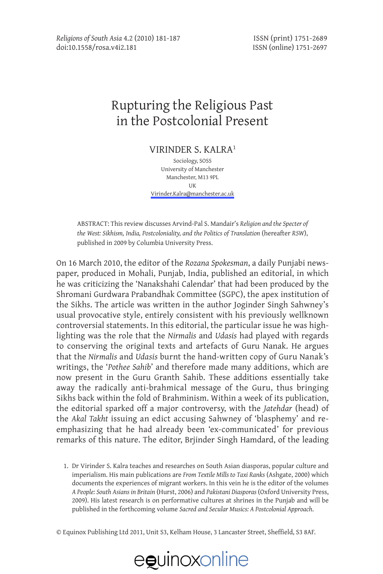### Rupturing the Religious Past in the Postcolonial Present

Virinder S. Kalra1

Sociology, SOSS University of Manchester Manchester, M13 9PL UK [Virinder.Kalra@manchester.ac.uk](mailto:Virinder.Kalra@manchester.ac.uk)

ABSTRACT: This review discusses Arvind-Pal S. Mandair's *Religion and the Specter of the West: Sikhism, India, Postcoloniality, and the Politics of Translation* (hereafter *RSW*), published in 2009 by Columbia University Press.

On 16 March 2010, the editor of the *Rozana Spokesman*, a daily Punjabi newspaper, produced in Mohali, Punjab, India, published an editorial, in which he was criticizing the 'Nanakshahi Calendar' that had been produced by the Shromani Gurdwara Prabandhak Committee (SGPC), the apex institution of the Sikhs. The article was written in the author Joginder Singh Sahwney's usual provocative style, entirely consistent with his previously wellknown controversial statements. In this editorial, the particular issue he was highlighting was the role that the *Nirmalis* and *Udasis* had played with regards to conserving the original texts and artefacts of Guru Nanak. He argues that the *Nirmalis* and *Udasis* burnt the hand-written copy of Guru Nanak's writings, the '*Pothee Sahib*' and therefore made many additions, which are now present in the Guru Granth Sahib. These additions essentially take away the radically anti-brahmical message of the Guru, thus bringing Sikhs back within the fold of Brahminism. Within a week of its publication, the editorial sparked off a major controversy, with the *Jatehdar* (head) of the *Akal Takht* issuing an edict accusing Sahwney of 'blasphemy' and reemphasizing that he had already been 'ex-communicated' for previous remarks of this nature. The editor, Brjinder Singh Hamdard, of the leading

1. Dr Virinder S. Kalra teaches and researches on South Asian diasporas, popular culture and imperialism. His main publications are *From Textile Mills to Taxi Ranks* (Ashgate, 2000) which documents the experiences of migrant workers. In this vein he is the editor of the volumes *A People: South Asians in Britain* (Hurst, 2006) and *Pakistani Diasporas* (Oxford University Press, 2009). His latest research is on performative cultures at shrines in the Punjab and will be published in the forthcoming volume *Sacred and Secular Musics: A Postcolonial Approach*.

© Equinox Publishing Ltd 2011, Unit S3, Kelham House, 3 Lancaster Street, Sheffield, S3 8AF.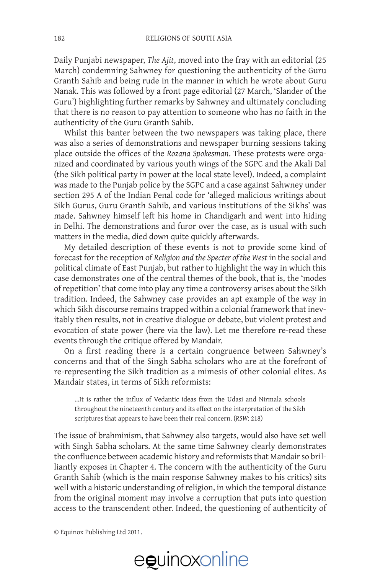Daily Punjabi newspaper, *The Ajit*, moved into the fray with an editorial (25 March) condemning Sahwney for questioning the authenticity of the Guru Granth Sahib and being rude in the manner in which he wrote about Guru Nanak. This was followed by a front page editorial (27 March, 'Slander of the Guru') highlighting further remarks by Sahwney and ultimately concluding that there is no reason to pay attention to someone who has no faith in the authenticity of the Guru Granth Sahib.

Whilst this banter between the two newspapers was taking place, there was also a series of demonstrations and newspaper burning sessions taking place outside the offices of the *Rozana Spokesman*. These protests were organized and coordinated by various youth wings of the SGPC and the Akali Dal (the Sikh political party in power at the local state level). Indeed, a complaint was made to the Punjab police by the SGPC and a case against Sahwney under section 295 A of the Indian Penal code for 'alleged malicious writings about Sikh Gurus, Guru Granth Sahib, and various institutions of the Sikhs' was made. Sahwney himself left his home in Chandigarh and went into hiding in Delhi. The demonstrations and furor over the case, as is usual with such matters in the media, died down quite quickly afterwards.

My detailed description of these events is not to provide some kind of forecast for the reception of *Religion and the Specter of the West* in the social and political climate of East Punjab, but rather to highlight the way in which this case demonstrates one of the central themes of the book, that is, the 'modes of repetition' that come into play any time a controversy arises about the Sikh tradition. Indeed, the Sahwney case provides an apt example of the way in which Sikh discourse remains trapped within a colonial framework that inevitably then results, not in creative dialogue or debate, but violent protest and evocation of state power (here via the law). Let me therefore re-read these events through the critique offered by Mandair.

On a first reading there is a certain congruence between Sahwney's concerns and that of the Singh Sabha scholars who are at the forefront of re-representing the Sikh tradition as a mimesis of other colonial elites. As Mandair states, in terms of Sikh reformists:

…It is rather the influx of Vedantic ideas from the Udasi and Nirmala schools throughout the nineteenth century and its effect on the interpretation of the Sikh scriptures that appears to have been their real concern. (*RSW*: 218)

The issue of brahminism, that Sahwney also targets, would also have set well with Singh Sabha scholars. At the same time Sahwney clearly demonstrates the confluence between academic history and reformists that Mandair so brilliantly exposes in Chapter 4. The concern with the authenticity of the Guru Granth Sahib (which is the main response Sahwney makes to his critics) sits well with a historic understanding of religion, in which the temporal distance from the original moment may involve a corruption that puts into question access to the transcendent other. Indeed, the questioning of authenticity of

© Equinox Publishing Ltd 2011.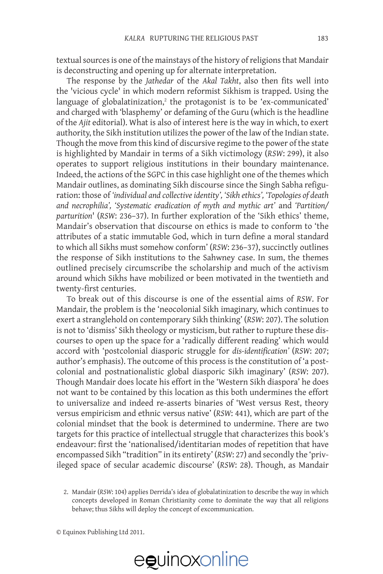textual sources is one of the mainstays of the history of religions that Mandair is deconstructing and opening up for alternate interpretation.

The response by the *Jathedar* of the *Akal Takht*, also then fits well into the 'vicious cycle' in which modern reformist Sikhism is trapped. Using the language of globalatinization,<sup>2</sup> the protagonist is to be 'ex-communicated' and charged with 'blasphemy' or defaming of the Guru (which is the headline of the *Ajit* editorial). What is also of interest here is the way in which, to exert authority, the Sikh institution utilizes the power of the law of the Indian state. Though the move from this kind of discursive regime to the power of the state is highlighted by Mandair in terms of a Sikh victimology (*RSW*: 299), it also operates to support religious institutions in their boundary maintenance. Indeed, the actions of the SGPC in this case highlight one of the themes which Mandair outlines, as dominating Sikh discourse since the Singh Sabha refiguration: those of *'individual and collective identity', 'Sikh ethics', 'Topologies of death and necrophilia', 'Systematic eradication of myth and mythic art'* and *'Partition/ parturition*' (*RSW*: 236–37). In further exploration of the 'Sikh ethics' theme, Mandair's observation that discourse on ethics is made to conform to 'the attributes of a static immutable God, which in turn define a moral standard to which all Sikhs must somehow conform' (*RSW*: 236–37), succinctly outlines the response of Sikh institutions to the Sahwney case. In sum, the themes outlined precisely circumscribe the scholarship and much of the activism around which Sikhs have mobilized or been motivated in the twentieth and twenty-first centuries.

To break out of this discourse is one of the essential aims of *RSW*. For Mandair, the problem is the 'neocolonial Sikh imaginary, which continues to exert a stranglehold on contemporary Sikh thinking' (*RSW*: 207). The solution is not to 'dismiss' Sikh theology or mysticism, but rather to rupture these discourses to open up the space for a 'radically different reading' which would accord with 'postcolonial diasporic struggle for *dis-identification'* (*RSW*: 207; author's emphasis). The outcome of this process is the constitution of 'a postcolonial and postnationalistic global diasporic Sikh imaginary' (*RSW*: 207). Though Mandair does locate his effort in the 'Western Sikh diaspora' he does not want to be contained by this location as this both undermines the effort to universalize and indeed re-asserts binaries of 'West versus Rest, theory versus empiricism and ethnic versus native' (*RSW*: 441), which are part of the colonial mindset that the book is determined to undermine. There are two targets for this practice of intellectual struggle that characterizes this book's endeavour: first the 'nationalised/identitarian modes of repetition that have encompassed Sikh "tradition" in its entirety' (*RSW*: 27) and secondly the 'privileged space of secular academic discourse' (*RSW*: 28). Though, as Mandair

<sup>2.</sup> Mandair (*RSW*: 104) applies Derrida's idea of globalatinization to describe the way in which concepts developed in Roman Christianity come to dominate the way that all religions behave; thus Sikhs will deploy the concept of excommunication.

<sup>©</sup> Equinox Publishing Ltd 2011.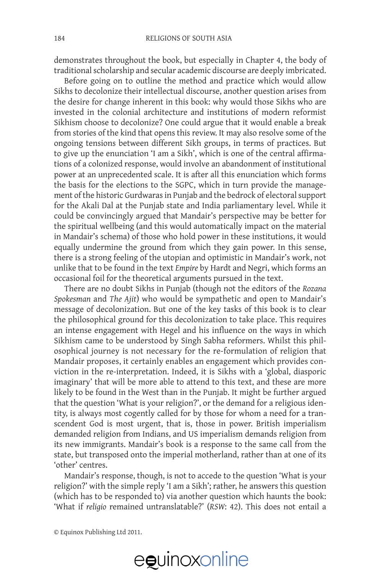demonstrates throughout the book, but especially in Chapter 4, the body of traditional scholarship and secular academic discourse are deeply imbricated.

Before going on to outline the method and practice which would allow Sikhs to decolonize their intellectual discourse, another question arises from the desire for change inherent in this book: why would those Sikhs who are invested in the colonial architecture and institutions of modern reformist Sikhism choose to decolonize? One could argue that it would enable a break from stories of the kind that opens this review. It may also resolve some of the ongoing tensions between different Sikh groups, in terms of practices. But to give up the enunciation 'I am a Sikh', which is one of the central affirmations of a colonized response, would involve an abandonment of institutional power at an unprecedented scale. It is after all this enunciation which forms the basis for the elections to the SGPC, which in turn provide the management of the historic Gurdwaras in Punjab and the bedrock of electoral support for the Akali Dal at the Punjab state and India parliamentary level. While it could be convincingly argued that Mandair's perspective may be better for the spiritual wellbeing (and this would automatically impact on the material in Mandair's schema) of those who hold power in these institutions, it would equally undermine the ground from which they gain power. In this sense, there is a strong feeling of the utopian and optimistic in Mandair's work, not unlike that to be found in the text *Empire* by Hardt and Negri, which forms an occasional foil for the theoretical arguments pursued in the text.

There are no doubt Sikhs in Punjab (though not the editors of the *Rozana Spokesman* and *The Ajit*) who would be sympathetic and open to Mandair's message of decolonization. But one of the key tasks of this book is to clear the philosophical ground for this decolonization to take place. This requires an intense engagement with Hegel and his influence on the ways in which Sikhism came to be understood by Singh Sabha reformers. Whilst this philosophical journey is not necessary for the re-formulation of religion that Mandair proposes, it certainly enables an engagement which provides conviction in the re-interpretation. Indeed, it is Sikhs with a 'global, diasporic imaginary' that will be more able to attend to this text, and these are more likely to be found in the West than in the Punjab. It might be further argued that the question 'What is your religion?', or the demand for a religious identity, is always most cogently called for by those for whom a need for a transcendent God is most urgent, that is, those in power. British imperialism demanded religion from Indians, and US imperialism demands religion from its new immigrants. Mandair's book is a response to the same call from the state, but transposed onto the imperial motherland, rather than at one of its 'other' centres.

Mandair's response, though, is not to accede to the question 'What is your religion?' with the simple reply 'I am a Sikh'; rather, he answers this question (which has to be responded to) via another question which haunts the book: 'What if *religio* remained untranslatable?' (*RSW*: 42). This does not entail a

© Equinox Publishing Ltd 2011.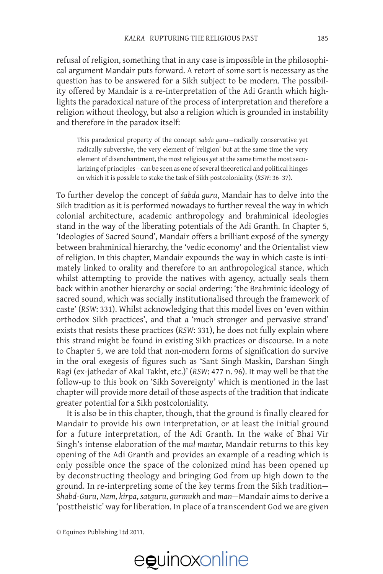refusal of religion, something that in any case is impossible in the philosophical argument Mandair puts forward. A retort of some sort is necessary as the question has to be answered for a Sikh subject to be modern. The possibility offered by Mandair is a re-interpretation of the Adi Granth which highlights the paradoxical nature of the process of interpretation and therefore a religion without theology, but also a religion which is grounded in instability and therefore in the paradox itself:

This paradoxical property of the concept *sabda guru*—radically conservative yet radically subversive, the very element of 'religion' but at the same time the very element of disenchantment, the most religious yet at the same time the most secularizing of principles—can be seen as one of several theoretical and political hinges on which it is possible to stake the task of Sikh postcoloniality. (*RSW*: 36–37).

To further develop the concept of *śabda guru*, Mandair has to delve into the Sikh tradition as it is performed nowadays to further reveal the way in which colonial architecture, academic anthropology and brahminical ideologies stand in the way of the liberating potentials of the Adi Granth. In Chapter 5, 'Ideologies of Sacred Sound', Mandair offers a brilliant exposé of the synergy between brahminical hierarchy, the 'vedic economy' and the Orientalist view of religion. In this chapter, Mandair expounds the way in which caste is intimately linked to orality and therefore to an anthropological stance, which whilst attempting to provide the natives with agency, actually seals them back within another hierarchy or social ordering: 'the Brahminic ideology of sacred sound, which was socially institutionalised through the framework of caste' (*RSW*: 331). Whilst acknowledging that this model lives on 'even within orthodox Sikh practices', and that a 'much stronger and pervasive strand' exists that resists these practices (*RSW*: 331), he does not fully explain where this strand might be found in existing Sikh practices or discourse. In a note to Chapter 5, we are told that non-modern forms of signification do survive in the oral exegesis of figures such as 'Sant Singh Maskin, Darshan Singh Ragi (ex-jathedar of Akal Takht, etc.)' (*RSW*: 477 n. 96). It may well be that the follow-up to this book on 'Sikh Sovereignty' which is mentioned in the last chapter will provide more detail of those aspects of the tradition that indicate greater potential for a Sikh postcoloniality.

It is also be in this chapter, though, that the ground is finally cleared for Mandair to provide his own interpretation, or at least the initial ground for a future interpretation, of the Adi Granth. In the wake of Bhai Vir Singh's intense elaboration of the *mul mantar*, Mandair returns to this key opening of the Adi Granth and provides an example of a reading which is only possible once the space of the colonized mind has been opened up by deconstructing theology and bringing God from up high down to the ground. In re-interpreting some of the key terms from the Sikh tradition— *Shabd-Guru, Nam, kirpa, satguru, gurmukh* and *man—*Mandair aims to derive a 'posttheistic' way for liberation. In place of a transcendent God we are given

© Equinox Publishing Ltd 2011.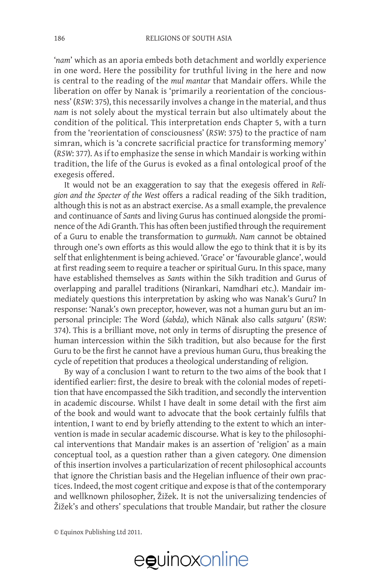'*nam*' which as an aporia embeds both detachment and worldly experience in one word. Here the possibility for truthful living in the here and now is central to the reading of the *mul mantar* that Mandair offers. While the liberation on offer by Nanak is 'primarily a reorientation of the conciousness' (*RSW*: 375), this necessarily involves a change in the material, and thus *nam* is not solely about the mystical terrain but also ultimately about the condition of the political. This interpretation ends Chapter 5, with a turn from the 'reorientation of consciousness' (*RSW*: 375) to the practice of nam simran, which is 'a concrete sacrificial practice for transforming memory' (*RSW*: 377). As if to emphasize the sense in which Mandair is working within tradition, the life of the Gurus is evoked as a final ontological proof of the exegesis offered.

It would not be an exaggeration to say that the exegesis offered in *Religion and the Specter of the West* offers a radical reading of the Sikh tradition, although this is not as an abstract exercise. As a small example, the prevalence and continuance of *Sant*s and living Gurus has continued alongside the prominence of the Adi Granth. This has often been justified through the requirement of a Guru to enable the transformation to *gurmukh*. *Nam* cannot be obtained through one's own efforts as this would allow the ego to think that it is by its self that enlightenment is being achieved. 'Grace' or 'favourable glance', would at first reading seem to require a teacher or spiritual Guru. In this space, many have established themselves as *Sant*s within the Sikh tradition and Gurus of overlapping and parallel traditions (Nirankari, Namdhari etc.). Mandair immediately questions this interpretation by asking who was Nanak's Guru? In response: 'Nanak's own preceptor, however, was not a human guru but an impersonal principle: The Word (*śabda*), which Nānak also calls *satguru*' (*RSW*: 374). This is a brilliant move, not only in terms of disrupting the presence of human intercession within the Sikh tradition, but also because for the first Guru to be the first he cannot have a previous human Guru, thus breaking the cycle of repetition that produces a theological understanding of religion.

By way of a conclusion I want to return to the two aims of the book that I identified earlier: first, the desire to break with the colonial modes of repetition that have encompassed the Sikh tradition, and secondly the intervention in academic discourse. Whilst I have dealt in some detail with the first aim of the book and would want to advocate that the book certainly fulfils that intention, I want to end by briefly attending to the extent to which an intervention is made in secular academic discourse. What is key to the philosophical interventions that Mandair makes is an assertion of 'religion' as a main conceptual tool, as a question rather than a given category. One dimension of this insertion involves a particularization of recent philosophical accounts that ignore the Christian basis and the Hegelian influence of their own practices. Indeed, the most cogent critique and expose is that of the contemporary and wellknown philosopher, Žižek. It is not the universalizing tendencies of Žižek's and others' speculations that trouble Mandair, but rather the closure

© Equinox Publishing Ltd 2011.